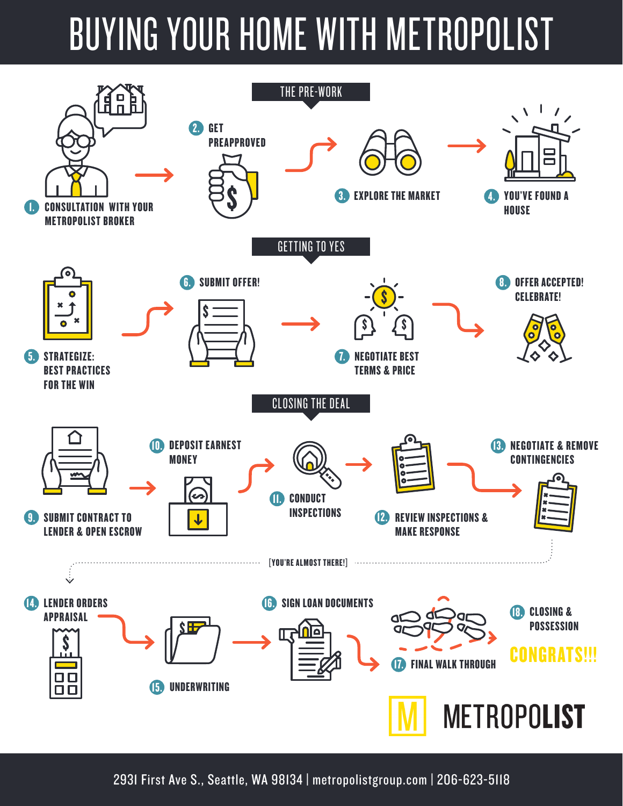# BUYING YOUR HOME WITH METROPOLIST



2931 First Ave S., Seattle, WA 98134 | metropolistgroup.com | 206-623-5118